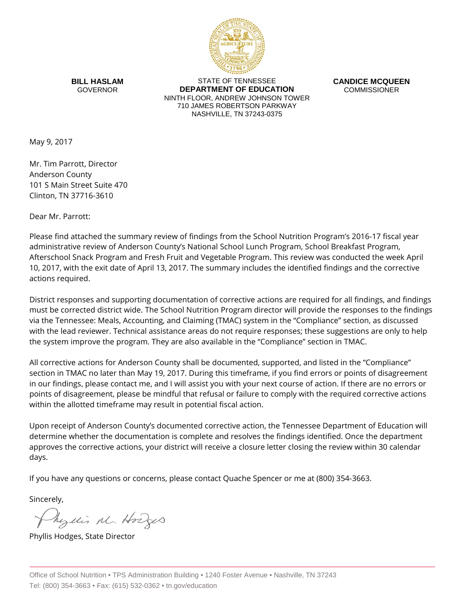

**BILL HASLAM** GOVERNOR

STATE OF TENNESSEE **DEPARTMENT OF EDUCATION** NINTH FLOOR, ANDREW JOHNSON TOWER 710 JAMES ROBERTSON PARKWAY NASHVILLE, TN 37243-0375

**CANDICE MCQUEEN** COMMISSIONER

May 9, 2017

Mr. Tim Parrott, Director Anderson County 101 S Main Street Suite 470 Clinton, TN 37716-3610

Dear Mr. Parrott:

Please find attached the summary review of findings from the School Nutrition Program's 2016-17 fiscal year administrative review of Anderson County's National School Lunch Program, School Breakfast Program, Afterschool Snack Program and Fresh Fruit and Vegetable Program. This review was conducted the week April 10, 2017, with the exit date of April 13, 2017. The summary includes the identified findings and the corrective actions required.

District responses and supporting documentation of corrective actions are required for all findings, and findings must be corrected district wide. The School Nutrition Program director will provide the responses to the findings via the Tennessee: Meals, Accounting, and Claiming (TMAC) system in the "Compliance" section, as discussed with the lead reviewer. Technical assistance areas do not require responses; these suggestions are only to help the system improve the program. They are also available in the "Compliance" section in TMAC.

All corrective actions for Anderson County shall be documented, supported, and listed in the "Compliance" section in TMAC no later than May 19, 2017. During this timeframe, if you find errors or points of disagreement in our findings, please contact me, and I will assist you with your next course of action. If there are no errors or points of disagreement, please be mindful that refusal or failure to comply with the required corrective actions within the allotted timeframe may result in potential fiscal action.

Upon receipt of Anderson County's documented corrective action, the Tennessee Department of Education will determine whether the documentation is complete and resolves the findings identified. Once the department approves the corrective actions, your district will receive a closure letter closing the review within 30 calendar days.

If you have any questions or concerns, please contact Quache Spencer or me at (800) 354-3663.

Sincerely,

Myllis M. Hodges

Phyllis Hodges, State Director